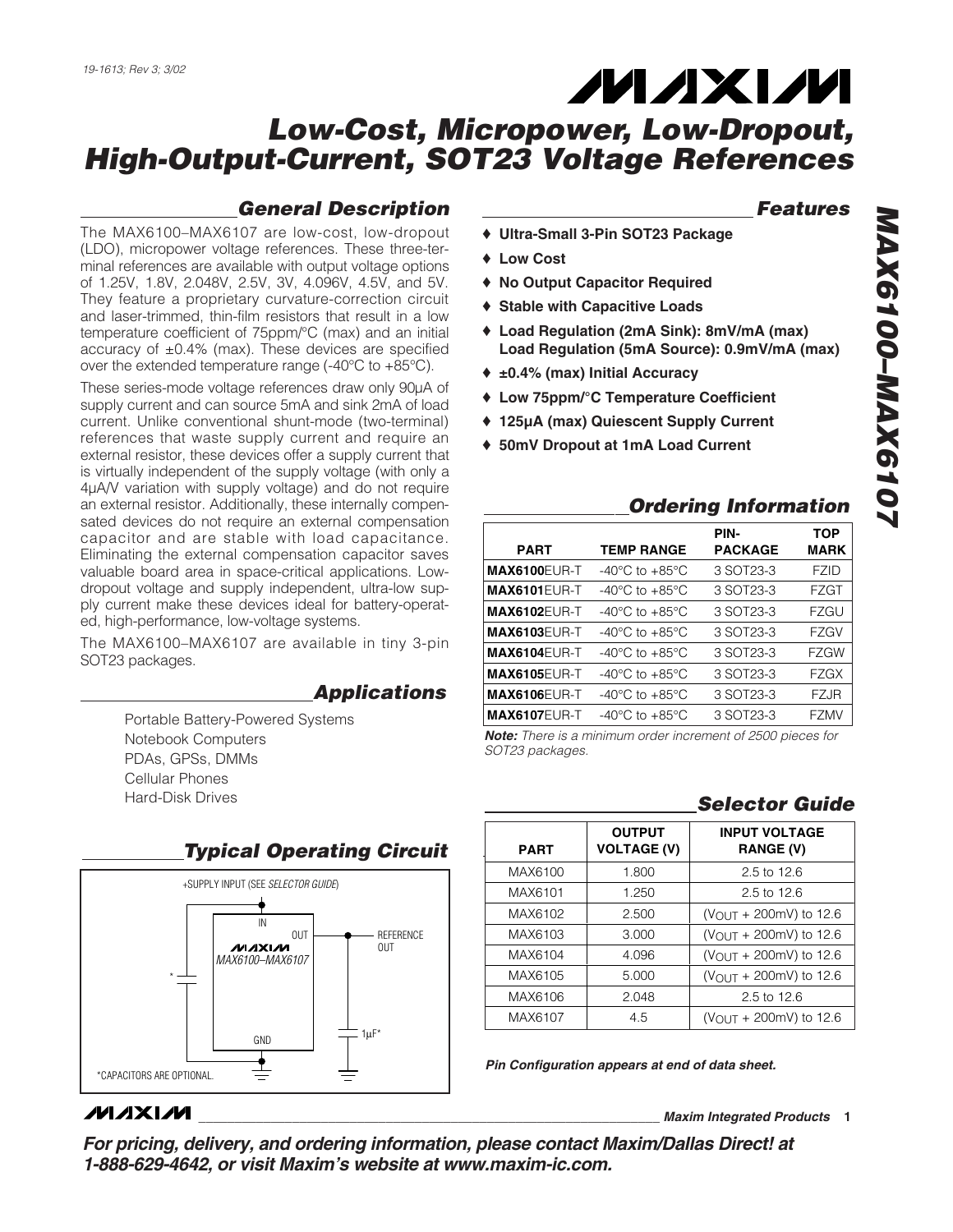# **MAXM**

## *Low-Cost, Micropower, Low-Dropout, High-Output-Current, SOT23 Voltage References*

#### *General Description*

The MAX6100–MAX6107 are low-cost, low-dropout (LDO), micropower voltage references. These three-terminal references are available with output voltage options of 1.25V, 1.8V, 2.048V, 2.5V, 3V, 4.096V, 4.5V, and 5V. They feature a proprietary curvature-correction circuit and laser-trimmed, thin-film resistors that result in a low temperature coefficient of 75ppm/°C (max) and an initial accuracy of ±0.4% (max). These devices are specified over the extended temperature range  $(-40^{\circ}C)$  to  $+85^{\circ}C$ ).

These series-mode voltage references draw only 90µA of supply current and can source 5mA and sink 2mA of load current. Unlike conventional shunt-mode (two-terminal) references that waste supply current and require an external resistor, these devices offer a supply current that is virtually independent of the supply voltage (with only a 4µA/V variation with supply voltage) and do not require an external resistor. Additionally, these internally compensated devices do not require an external compensation capacitor and are stable with load capacitance. Eliminating the external compensation capacitor saves valuable board area in space-critical applications. Lowdropout voltage and supply independent, ultra-low supply current make these devices ideal for battery-operated, high-performance, low-voltage systems.

The MAX6100–MAX6107 are available in tiny 3-pin SOT23 packages.

#### *Applications*

Portable Battery-Powered Systems Notebook Computers PDAs, GPSs, DMMs Cellular Phones Hard-Disk Drives

### *Typical Operating Circuit*



*MAXM* 

#### *Features*

- ♦ **Ultra-Small 3-Pin SOT23 Package**
- ♦ **Low Cost**
- ♦ **No Output Capacitor Required**
- ♦ **Stable with Capacitive Loads**
- ♦ **Load Regulation (2mA Sink): 8mV/mA (max) Load Regulation (5mA Source): 0.9mV/mA (max)**
- ♦ **±0.4% (max) Initial Accuracy**
- ♦ **Low 75ppm/°C Temperature Coefficient**
- ♦ **125µA (max) Quiescent Supply Current**
- ♦ **50mV Dropout at 1mA Load Current**

#### *Ordering Information*

| <b>PART</b>         | <b>TEMP RANGE</b>                  | PIN-<br><b>PACKAGE</b> | TOP<br><b>MARK</b> |
|---------------------|------------------------------------|------------------------|--------------------|
| <b>MAX6100EUR-T</b> | $-40^{\circ}$ C to $+85^{\circ}$ C | 3 SOT23-3              | F7ID               |
| <b>MAX6101EUR-T</b> | $-40^{\circ}$ C to $+85^{\circ}$ C | 3 SOT23-3              | <b>FZGT</b>        |
| <b>MAX6102EUR-T</b> | -40°C to +85°C                     | 3 SOT23-3              | FZGU               |
| <b>MAX6103EUR-T</b> | $-40^{\circ}$ C to $+85^{\circ}$ C | 3 SOT23-3              | FZGV               |
| <b>MAX6104EUR-T</b> | $-40^{\circ}$ C to $+85^{\circ}$ C | 3 SOT23-3              | <b>FZGW</b>        |
| <b>MAX6105EUR-T</b> | $-40^{\circ}$ C to $+85^{\circ}$ C | 3 SOT23-3              | FZGX               |
| <b>MAX6106EUR-T</b> | $-40^{\circ}$ C to $+85^{\circ}$ C | 3 SOT23-3              | FZJR               |
| <b>MAX6107EUR-T</b> | $-40^{\circ}$ C to $+85^{\circ}$ C | 3 SOT23-3              | FZMV               |

*Note: There is a minimum order increment of 2500 pieces for SOT23 packages.*

#### *Selector Guide*

| <b>OUTPUT</b><br><b>VOLTAGE (V)</b> | <b>INPUT VOLTAGE</b><br><b>RANGE (V)</b>   |
|-------------------------------------|--------------------------------------------|
| 1.800                               | 2.5 to 12.6                                |
| 1.250                               | 2.5 to 12.6                                |
| 2.500                               | $(V_{\text{OUT}} + 200 \text{mV})$ to 12.6 |
| 3.000                               | $(V_{\text{OUT}} + 200 \text{mV})$ to 12.6 |
| 4.096                               | $(V_{\text{OUT}} + 200 \text{mV})$ to 12.6 |
| 5.000                               | (VOUT + 200mV) to 12.6                     |
| 2.048                               | 2.5 to 12.6                                |
| 4.5                                 | $(V_{\text{OUT}} + 200 \text{mV})$ to 12.6 |
|                                     |                                            |

*Pin Configuration appears at end of data sheet.*

#### *For pricing, delivery, and ordering information, please contact Maxim/Dallas Direct! at 1-888-629-4642, or visit Maxim's website at www.maxim-ic.com.*

**\_\_\_\_\_\_\_\_\_\_\_\_\_\_\_\_\_\_\_\_\_\_\_\_\_\_\_\_\_\_\_\_\_\_\_\_\_\_\_\_\_\_\_\_\_\_\_\_\_\_\_\_\_\_\_\_\_\_\_\_\_\_\_\_** *Maxim Integrated Products* **1**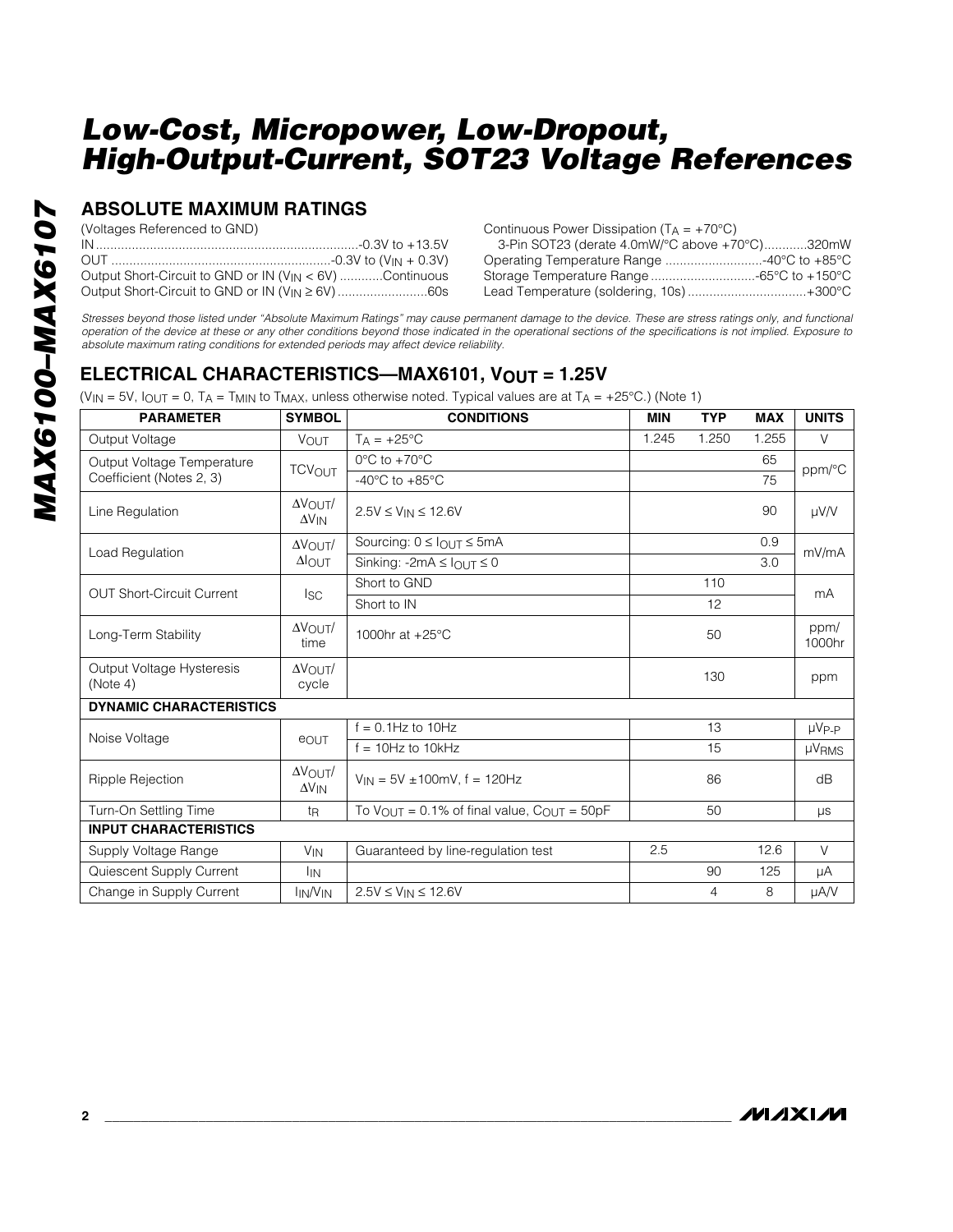#### **ABSOLUTE MAXIMUM RATINGS**

(Voltages Referenced to GND)

| Output Short-Circuit to GND or IN (V <sub>IN</sub> < 6V) Continuous |
|---------------------------------------------------------------------|
| Output Short-Circuit to GND or IN (V <sub>IN</sub> ≥ 6V) 60s        |

Continuous Power Dissipation  $(T_A = +70^{\circ}C)$ 

| 3-Pin SOT23 (derate 4.0mW/°C above +70°C)320mW |  |
|------------------------------------------------|--|
| Operating Temperature Range 40°C to +85°C      |  |
| Storage Temperature Range -65°C to +150°C      |  |
| Lead Temperature (soldering, 10s)+300°C        |  |

*Stresses beyond those listed under "Absolute Maximum Ratings" may cause permanent damage to the device. These are stress ratings only, and functional operation of the device at these or any other conditions beyond those indicated in the operational sections of the specifications is not implied. Exposure to absolute maximum rating conditions for extended periods may affect device reliability.*

#### **ELECTRICAL CHARACTERISTICS—MAX6101, VOUT = 1.25V**

(V<sub>IN</sub> = 5V, I<sub>OUT</sub> = 0, T<sub>A</sub> = T<sub>MIN</sub> to T<sub>MAX</sub>, unless otherwise noted. Typical values are at T<sub>A</sub> = +25°C.) (Note 1)

| <b>PARAMETER</b>                      | <b>SYMBOL</b>                               | <b>CONDITIONS</b>                                                   | <b>MIN</b> | <b>TYP</b> | <b>MAX</b> | <b>UNITS</b>   |
|---------------------------------------|---------------------------------------------|---------------------------------------------------------------------|------------|------------|------------|----------------|
| Output Voltage                        | <b>VOUT</b>                                 | $T_A = +25$ °C                                                      | 1.245      | 1.250      | 1.255      | $\vee$         |
| Output Voltage Temperature            | <b>TCV<sub>OUT</sub></b>                    | $0^{\circ}$ C to $+70^{\circ}$ C                                    |            |            | 65         | ppm/°C         |
| Coefficient (Notes 2, 3)              |                                             | -40 $^{\circ}$ C to +85 $^{\circ}$ C                                |            |            | 75         |                |
| Line Regulation                       | $\Delta V_{\text{OUT}}/$<br>$\Delta V_{IN}$ | $2.5V \le V_{IN} \le 12.6V$                                         |            |            | 90         | $\mu$ V/V      |
|                                       | $\Delta V$ $\cap$ UT $/$                    | Sourcing: $0 \leq I_{\text{OUT}} \leq 5 \text{mA}$                  |            |            | 0.9        | mV/mA          |
| Load Regulation                       | $\Delta$ OUT                                | Sinking: $-2mA \leq l$ <sub>OUT</sub> $\leq 0$                      |            |            | 3.0        |                |
| <b>OUT Short-Circuit Current</b>      |                                             | Short to GND                                                        |            | 110        |            | mA             |
|                                       | lsc                                         | Short to IN                                                         |            | 12         |            |                |
| Long-Term Stability                   | $\Delta V$ OUT<br>time                      | 1000hr at +25°C                                                     |            | 50         |            | ppm/<br>1000hr |
| Output Voltage Hysteresis<br>(Note 4) | $\Delta V$ OUT<br>cycle                     |                                                                     |            | 130        |            | ppm            |
| <b>DYNAMIC CHARACTERISTICS</b>        |                                             |                                                                     |            |            |            |                |
| Noise Voltage                         |                                             | $f = 0.1$ Hz to 10Hz                                                |            | 13         |            | $\mu V_{P-P}$  |
|                                       | eout                                        | $f = 10$ Hz to $10$ kHz                                             |            | 15         |            | <b>µVRMS</b>   |
| Ripple Rejection                      | $\Delta V$ OUT<br>$\Delta V_{IN}$           | $V_{IN} = 5V \pm 100$ mV, f = 120Hz                                 |            | 86         |            | dB             |
| Turn-On Settling Time                 | t <sub>R</sub>                              | To $V_{\text{OUT}} = 0.1\%$ of final value, $C_{\text{OUT}} = 50pF$ |            | 50         |            | μs             |
| <b>INPUT CHARACTERISTICS</b>          |                                             |                                                                     |            |            |            |                |
| Supply Voltage Range                  | V <sub>IN</sub>                             | Guaranteed by line-regulation test                                  | 2.5        |            | 12.6       | $\vee$         |
| Quiescent Supply Current              | <b>I</b> IN                                 |                                                                     |            | 90         | 125        | μA             |
| Change in Supply Current              | <b>IN/VIN</b>                               | $2.5V \le V_{IN} \le 12.6V$                                         |            | 4          | 8          | µA/V           |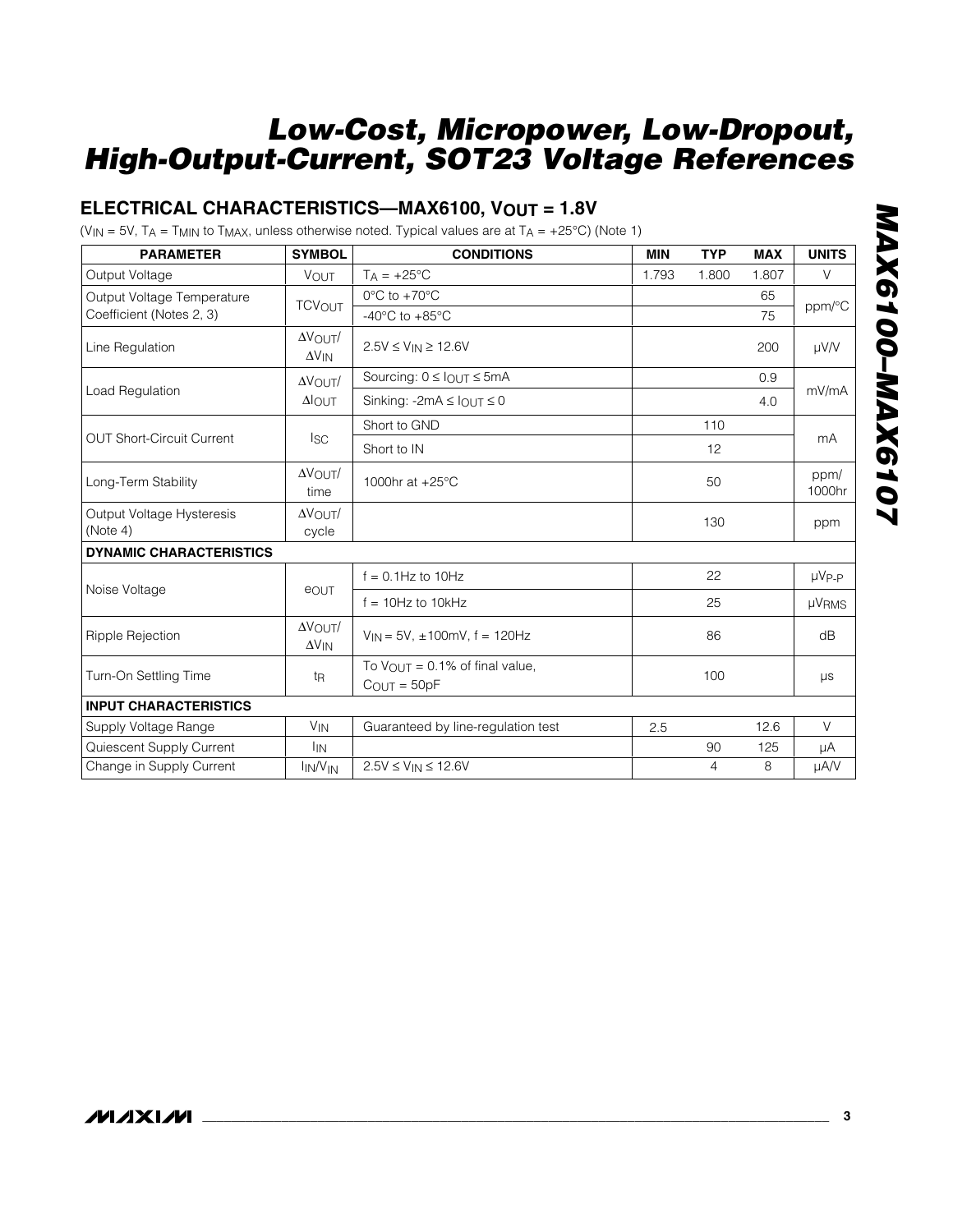#### **ELECTRICAL CHARACTERISTICS—MAX6100, VOUT = 1.8V**

(V<sub>IN</sub> = 5V, T<sub>A</sub> = T<sub>MIN</sub> to T<sub>MAX</sub>, unless otherwise noted. Typical values are at T<sub>A</sub> = +25°C) (Note 1)

| <b>PARAMETER</b>                 | <b>SYMBOL</b>                              | <b>CONDITIONS</b>                                                      | <b>MIN</b> | <b>TYP</b>     | <b>MAX</b> | <b>UNITS</b>   |
|----------------------------------|--------------------------------------------|------------------------------------------------------------------------|------------|----------------|------------|----------------|
| Output Voltage                   | VOUT                                       | $T_A = +25$ °C                                                         | 1.793      | 1.800          | 1.807      | V              |
| Output Voltage Temperature       |                                            | $0^{\circ}$ C to $+70^{\circ}$ C                                       |            |                | 65         |                |
| Coefficient (Notes 2, 3)         | <b>TCVOUT</b>                              | $-40^{\circ}$ C to $+85^{\circ}$ C                                     |            |                | 75         | ppm/°C         |
| Line Regulation                  | $\Delta V$ OUT/<br>$\Delta V_{IN}$         | $2.5V \le V_{IN} \ge 12.6V$                                            |            |                | 200        | µV/V           |
|                                  | $\Delta V$ OUT/                            | Sourcing: $0 \leq$ $I$ <sub>OUT</sub> $\leq$ 5mA                       |            |                | 0.9        |                |
| Load Regulation                  | $\Delta$ OUT                               | Sinking: $-2mA \leq l$ <sub>OUT</sub> $\leq 0$                         |            |                | 4.0        | mV/mA          |
|                                  |                                            | Short to GND                                                           |            | 110            |            |                |
| <b>OUT Short-Circuit Current</b> | <sub>ISC</sub>                             | Short to IN                                                            |            | 12             |            | mA             |
| Long-Term Stability              | $\Delta V$ OUT/<br>time                    | 1000hr at $+25^{\circ}$ C                                              |            | 50             |            | ppm/<br>1000hr |
| Output Voltage Hysteresis        | $\Delta V$ OUT/                            |                                                                        |            | 130            |            | ppm            |
| (Note 4)                         | cycle                                      |                                                                        |            |                |            |                |
| <b>DYNAMIC CHARACTERISTICS</b>   |                                            |                                                                        |            |                |            |                |
| Noise Voltage                    | <b>e</b> OUT                               | $f = 0.1$ Hz to 10Hz                                                   |            | 22             |            | $\mu V_{P-P}$  |
|                                  |                                            | $f = 10Hz$ to 10kHz                                                    |            | 25             |            | <b>µVRMS</b>   |
| Ripple Rejection                 | $\Delta \rm {V_{OUT}}/$<br>$\Delta V_{IN}$ | $V_{IN} = 5V$ , $\pm 100$ mV, f = 120Hz                                |            | 86             |            | dB             |
| Turn-On Settling Time            | t <sub>R</sub>                             | To $V_{\text{OUT}} = 0.1\%$ of final value,<br>$C_{\text{OUT}} = 50pF$ |            | 100            |            | μs             |
| <b>INPUT CHARACTERISTICS</b>     |                                            |                                                                        |            |                |            |                |
| Supply Voltage Range             | <b>V<sub>IN</sub></b>                      | Guaranteed by line-regulation test                                     | 2.5        |                | 12.6       | $\vee$         |
| Quiescent Supply Current         | I <sub>IN</sub>                            |                                                                        |            | 90             | 125        | μA             |
| Change in Supply Current         | <b>IN/V<sub>IN</sub></b>                   | $2.5V \le V_{IN} \le 12.6V$                                            |            | $\overline{4}$ | 8          | µA/V           |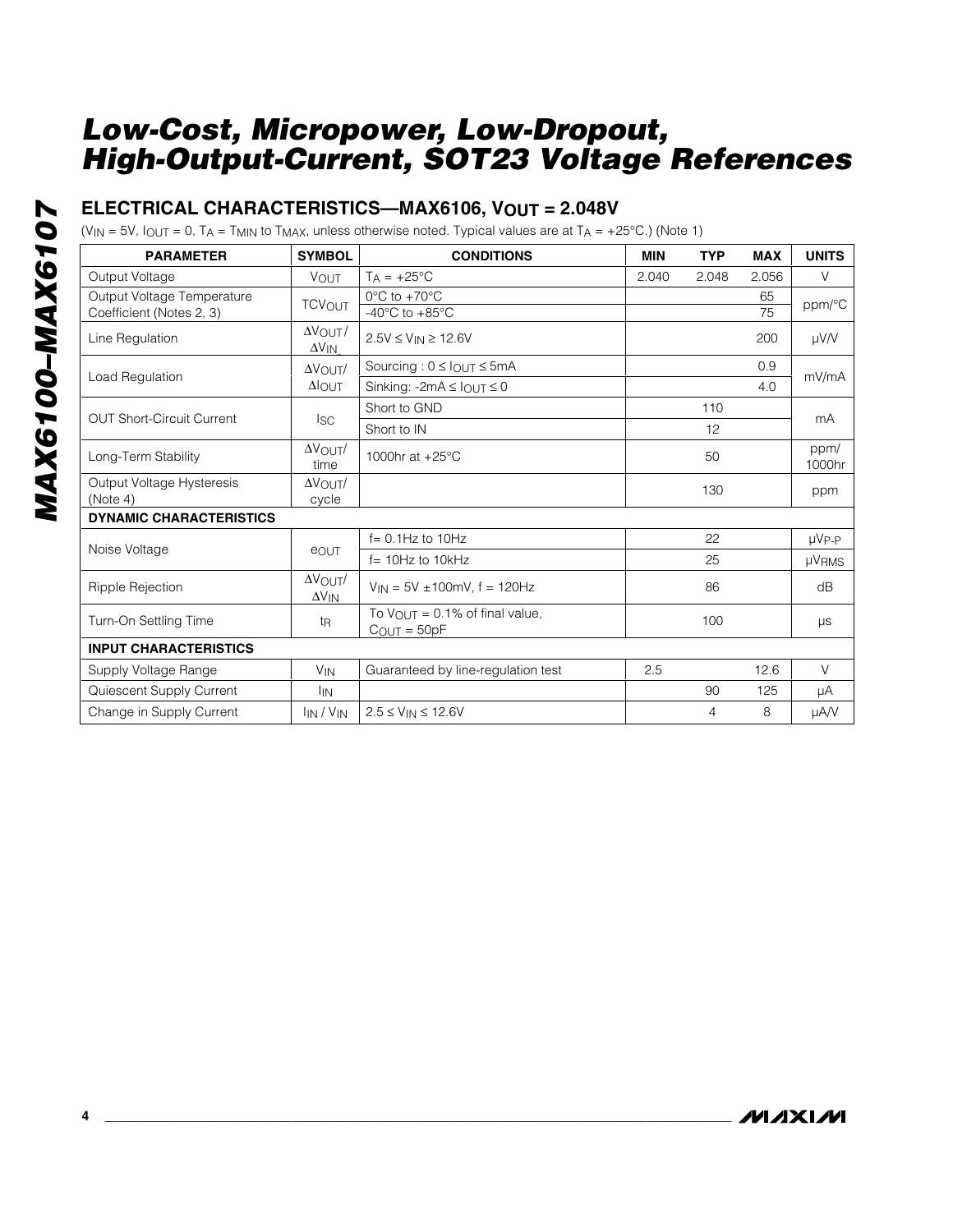#### **ELECTRICAL CHARACTERISTICS—MAX6106, VOUT = 2.048V**

(V<sub>IN</sub> = 5V,  $I_{\text{OUT}} = 0$ ,  $T_A = T_{\text{MIN}}$  to  $T_{\text{MAX}}$ , unless otherwise noted. Typical values are at  $T_A = +25^{\circ}$ C.) (Note 1)

| <b>PARAMETER</b>                      | <b>SYMBOL</b>                      | <b>CONDITIONS</b>                                               | <b>MIN</b> | <b>TYP</b> | <b>MAX</b> | <b>UNITS</b>   |
|---------------------------------------|------------------------------------|-----------------------------------------------------------------|------------|------------|------------|----------------|
| Output Voltage                        | <b>VOUT</b>                        | $T_A = +25$ °C                                                  | 2.040      | 2.048      | 2.056      | V              |
| Output Voltage Temperature            | <b>TCVOUT</b>                      | $0^{\circ}$ C to +70 $^{\circ}$ C                               |            |            | 65         | ppm/°C         |
| Coefficient (Notes 2, 3)              |                                    | -40 $^{\circ}$ C to +85 $^{\circ}$ C                            |            |            | 75         |                |
| Line Regulation                       | $\Delta V$ OUT/<br>$\Delta V_{IN}$ | $2.5V \le V_{IN} \ge 12.6V$                                     |            |            | 200        | $\mu$ V/V      |
|                                       | $\Delta V$ OUT                     | Sourcing: $0 \leq I_{\text{OUT}} \leq 5 \text{mA}$              |            |            | 0.9        |                |
| Load Regulation                       | $\Delta$ OUT                       | Sinking: -2mA $\leq$ $I_{OUT} \leq 0$                           |            |            | 4.0        | mV/mA          |
| <b>OUT Short-Circuit Current</b>      |                                    | Short to GND                                                    |            | 110        |            | mA             |
|                                       | lsc.                               | Short to IN                                                     |            | 12         |            |                |
| Long-Term Stability                   | $\Delta V$ OUT/<br>time            | 1000hr at $+25^{\circ}$ C                                       |            | 50         |            | ppm/<br>1000hr |
| Output Voltage Hysteresis<br>(Note 4) | $\Delta V$ OUT<br>cycle            |                                                                 |            | 130        |            | ppm            |
| <b>DYNAMIC CHARACTERISTICS</b>        |                                    |                                                                 |            |            |            |                |
|                                       |                                    | $f = 0.1$ Hz to $10$ Hz                                         |            | 22         |            | $\mu V_{P-P}$  |
| Noise Voltage                         | eout                               | $f = 10Hz$ to $10kHz$                                           |            | 25         |            | <b>µVRMS</b>   |
| <b>Ripple Rejection</b>               | $\Delta V$ OUT/<br>$\Delta V_{IN}$ | $V_{IN}$ = 5V ±100mV, f = 120Hz                                 |            | 86         |            | dB             |
| Turn-On Settling Time                 | t <sub>R</sub>                     | To $V_{OUT} = 0.1\%$ of final value,<br>$C_{\text{OUT}} = 50pF$ |            | 100        |            | μs             |
| <b>INPUT CHARACTERISTICS</b>          |                                    |                                                                 |            |            |            |                |
| Supply Voltage Range                  | <b>V<sub>IN</sub></b>              | Guaranteed by line-regulation test                              | 2.5        |            | 12.6       | $\vee$         |
| Quiescent Supply Current              | <b>I</b> IN                        |                                                                 |            | 90         | 125        | μA             |
| Change in Supply Current              | $I_{IN}$ / $V_{IN}$                | $2.5 \le V_{IN} \le 12.6 V$                                     |            | 4          | 8          | µA/V           |

**MAXIM** 

**4 \_\_\_\_\_\_\_\_\_\_\_\_\_\_\_\_\_\_\_\_\_\_\_\_\_\_\_\_\_\_\_\_\_\_\_\_\_\_\_\_\_\_\_\_\_\_\_\_\_\_\_\_\_\_\_\_\_\_\_\_\_\_\_\_\_\_\_\_\_\_\_\_\_\_\_\_\_\_\_\_\_\_\_\_\_\_\_**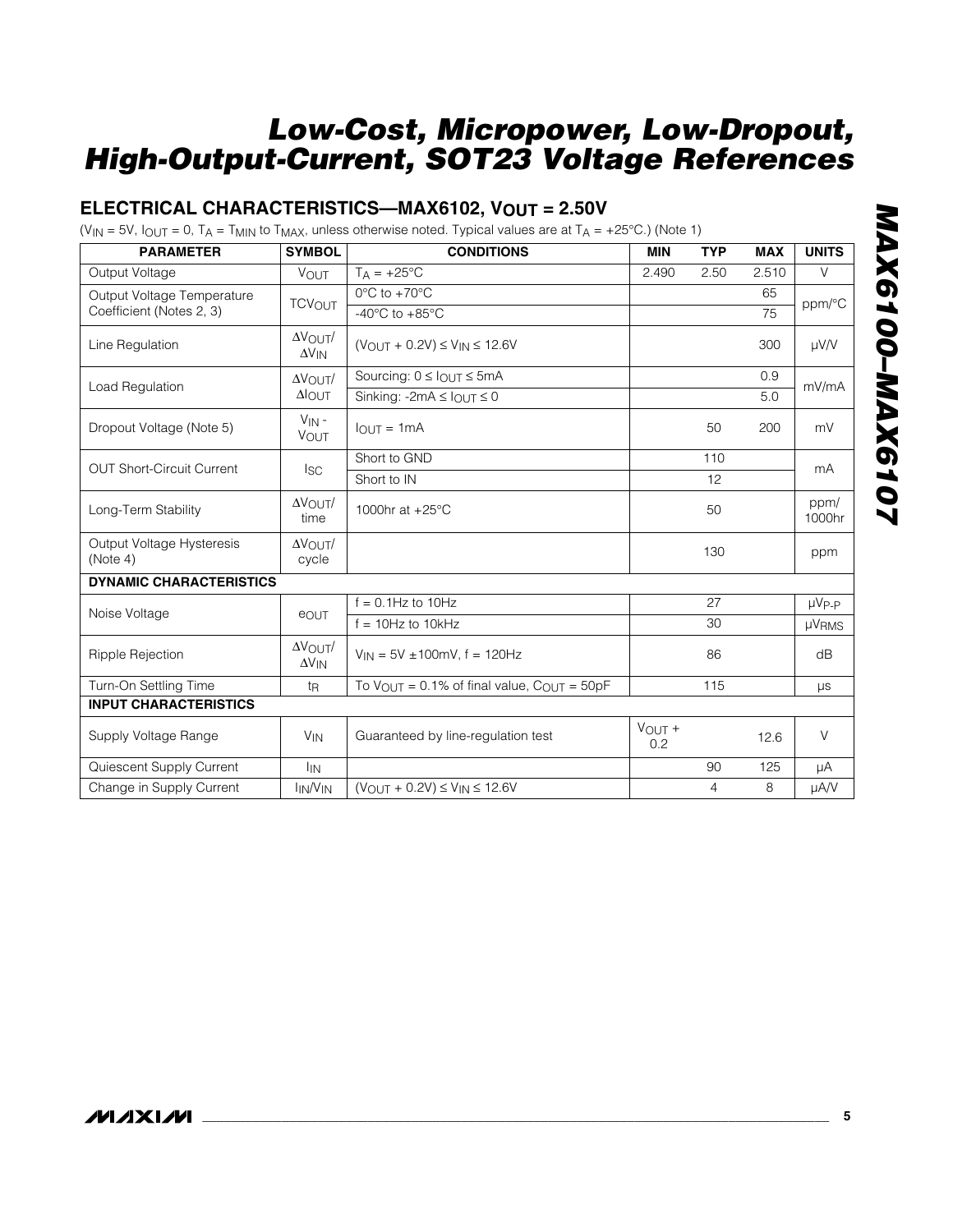#### **ELECTRICAL CHARACTERISTICS—MAX6102, VOUT = 2.50V**

(V<sub>IN</sub> = 5V,  $I_{OUT}$  = 0, T<sub>A</sub> = T<sub>MIN</sub> to T<sub>MAX</sub>, unless otherwise noted. Typical values are at T<sub>A</sub> = +25°C.) (Note 1)

| <b>PARAMETER</b>                      | <b>SYMBOL</b>                              | <b>CONDITIONS</b>                                                   | <b>MIN</b>       | <b>TYP</b> | <b>MAX</b> | <b>UNITS</b>   |
|---------------------------------------|--------------------------------------------|---------------------------------------------------------------------|------------------|------------|------------|----------------|
| Output Voltage                        | <b>VOUT</b>                                | $T_A = +25$ °C                                                      | 2.490            | 2.50       | 2.510      | $\vee$         |
| Output Voltage Temperature            | <b>TCVOUT</b>                              | $0^{\circ}$ C to +70 $^{\circ}$ C                                   |                  | 65         |            |                |
| Coefficient (Notes 2, 3)              |                                            | -40 $^{\circ}$ C to +85 $^{\circ}$ C                                |                  |            | 75         | ppm/°C         |
| Line Regulation                       | $\Delta V$ OUT<br>$\Delta V_{IN}$          | $(V_{OUIT} + 0.2V) \le V_{IN} \le 12.6V$                            |                  |            | 300        | $\mu$ V/V      |
| Load Regulation                       | $\Delta V$ OUT                             | Sourcing: $0 \leq$ $_{OUT} \leq$ 5mA                                |                  |            | 0.9        | mV/mA          |
|                                       | $\Delta$ OUT                               | Sinking: -2mA $\leq$ $I_{OUT} \leq 0$                               |                  |            | 5.0        |                |
| Dropout Voltage (Note 5)              | $V_{IN}$ -<br><b>VOUT</b>                  | $IQUT = 1mA$                                                        |                  | 50         | 200        | mV             |
| <b>OUT Short-Circuit Current</b>      |                                            | Short to GND                                                        |                  | 110        |            |                |
|                                       | <sub>ISC</sub>                             | Short to IN                                                         |                  | 12         |            | mA             |
| Long-Term Stability                   | $\Delta V$ OUT<br>time                     | 1000hr at +25°C                                                     |                  | 50         |            | ppm/<br>1000hr |
| Output Voltage Hysteresis<br>(Note 4) | $\Delta V$ $\Omega$ lit $\Lambda$<br>cycle |                                                                     |                  | 130        |            | ppm            |
| <b>DYNAMIC CHARACTERISTICS</b>        |                                            |                                                                     |                  |            |            |                |
| Noise Voltage                         | eout                                       | $f = 0.1$ Hz to 10Hz                                                |                  | 27         |            | $\mu V_{P-P}$  |
|                                       |                                            | $f = 10$ Hz to $10$ kHz                                             |                  | 30         |            | µVRMS          |
| Ripple Rejection                      | $\Delta V$ OUT/<br>$\Delta V_{IN}$         | $V_{IN}$ = 5V ±100mV, f = 120Hz                                     |                  | 86         |            | dB             |
| Turn-On Settling Time                 | t <sub>R</sub>                             | To $V_{\text{OUT}} = 0.1\%$ of final value, $C_{\text{OUT}} = 50pF$ |                  | 115        |            | $\mu s$        |
| <b>INPUT CHARACTERISTICS</b>          |                                            |                                                                     |                  |            |            |                |
| Supply Voltage Range                  | <b>V<sub>IN</sub></b>                      | Guaranteed by line-regulation test                                  | $V$ OUT +<br>0.2 |            | 12.6       | $\vee$         |
| Quiescent Supply Current              | <sup>I</sup> IN                            |                                                                     |                  | 90         | 125        | μA             |
| Change in Supply Current              | <b>IN/VIN</b>                              | $(V_{OUT} + 0.2V) \le V_{IN} \le 12.6V$                             |                  | 4          | 8          | µA/V           |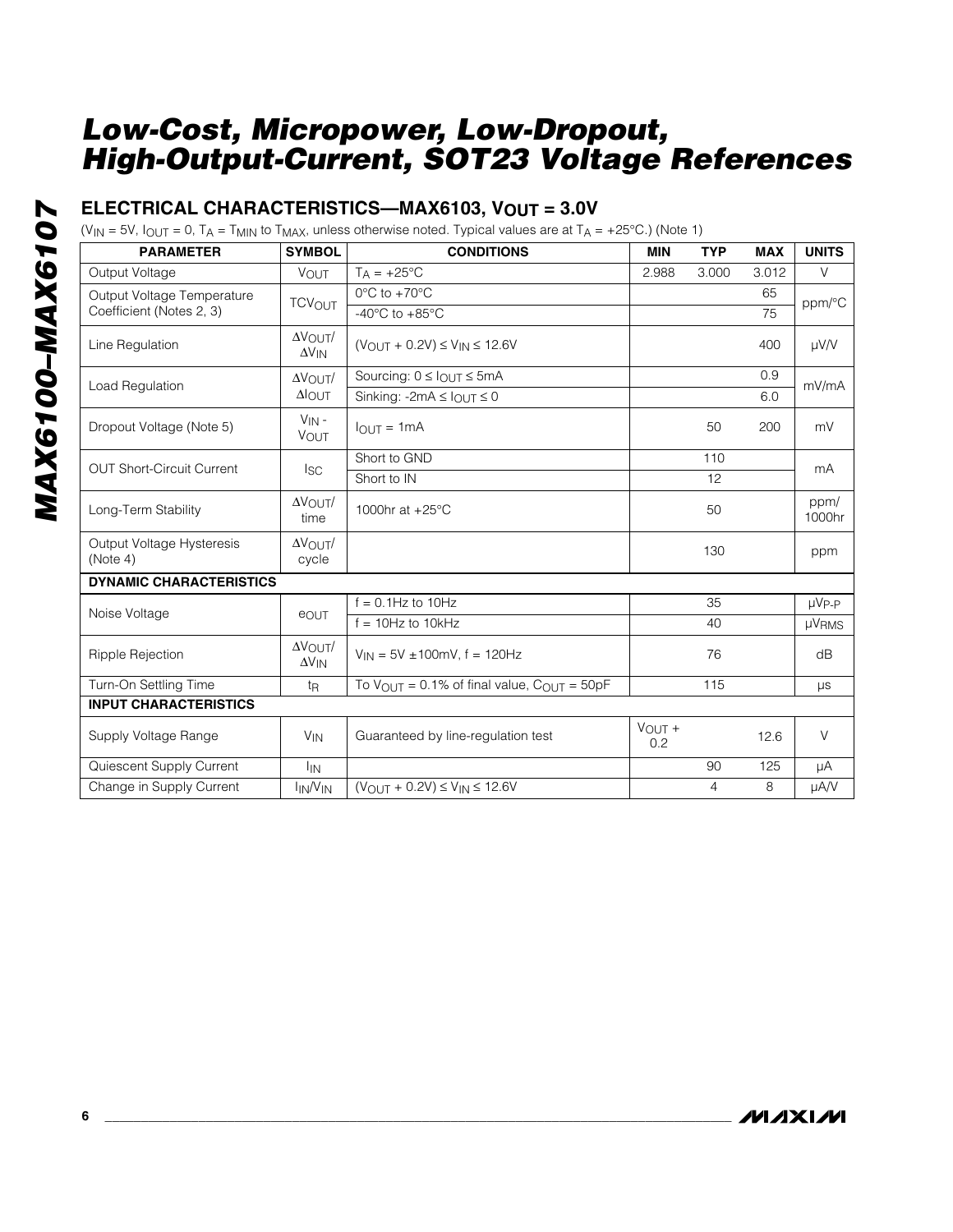#### **ELECTRICAL CHARACTERISTICS—MAX6103, VOUT = 3.0V**

(V<sub>IN</sub> = 5V,  $I_{OUT}$  = 0, T<sub>A</sub> = T<sub>MIN</sub> to T<sub>MAX</sub>, unless otherwise noted. Typical values are at T<sub>A</sub> = +25°C.) (Note 1)

| <b>PARAMETER</b>                      | <b>SYMBOL</b>                      | <b>CONDITIONS</b>                                                   | <b>MIN</b>         | <b>TYP</b> | <b>MAX</b> | <b>UNITS</b>   |
|---------------------------------------|------------------------------------|---------------------------------------------------------------------|--------------------|------------|------------|----------------|
| Output Voltage                        | VOUT                               | $T_A = +25^{\circ}C$                                                | 2.988              | 3.000      | 3.012      | $\vee$         |
| Output Voltage Temperature            | <b>TCV<sub>OUT</sub></b>           | $0^{\circ}$ C to $+70^{\circ}$ C                                    |                    |            | 65         | ppm/°C         |
| Coefficient (Notes 2, 3)              |                                    | -40 $^{\circ}$ C to +85 $^{\circ}$ C                                |                    |            | 75         |                |
| Line Regulation                       | $\Delta V$ OUT<br>$\Delta V_{IN}$  | $(V_{OUIT} + 0.2V) \le V_{IN} \le 12.6V$                            |                    |            | 400        | µV/V           |
| Load Regulation                       | $\Delta V$ OUT                     | Sourcing: $0 \leq$ $_{\text{OUT}} \leq$ 5mA                         |                    |            | 0.9        | mV/mA          |
|                                       | $\Delta$ OUT                       | Sinking: -2mA $\leq$ $I_{\text{OUT}} \leq 0$                        |                    |            | 6.0        |                |
| Dropout Voltage (Note 5)              | $V_{IN}$ -<br><b>VOUT</b>          | $I_{\text{OUT}} = 1 \text{mA}$                                      |                    | 50         | 200        | mV             |
| <b>OUT Short-Circuit Current</b>      |                                    | Short to GND                                                        |                    | 110        |            | mA             |
|                                       | Isc.                               | Short to IN                                                         |                    | 12         |            |                |
| Long-Term Stability                   | $\Delta V$ OUT<br>time             | 1000hr at +25°C                                                     |                    | 50         |            | ppm/<br>1000hr |
| Output Voltage Hysteresis<br>(Note 4) | $\Delta V$ OUT/<br>cycle           |                                                                     |                    | 130        |            | ppm            |
| <b>DYNAMIC CHARACTERISTICS</b>        |                                    |                                                                     |                    |            |            |                |
| Noise Voltage                         | eout                               | $f = 0.1$ Hz to 10Hz                                                |                    | 35         |            | $\mu V_{P-P}$  |
|                                       |                                    | $f = 10$ Hz to $10$ kHz                                             |                    | 40         |            | <b>µVRMS</b>   |
| <b>Ripple Rejection</b>               | $\Delta V$ OUT/<br>$\Delta V_{IN}$ | $V_{1N} = 5V \pm 100$ mV, f = 120Hz                                 |                    | 76         |            | dB             |
| Turn-On Settling Time                 | t <sub>R</sub>                     | To $V_{\text{OUT}} = 0.1\%$ of final value, $C_{\text{OUT}} = 50pF$ |                    | 115        |            | $\mu s$        |
| <b>INPUT CHARACTERISTICS</b>          |                                    |                                                                     |                    |            |            |                |
| Supply Voltage Range                  | <b>V<sub>IN</sub></b>              | Guaranteed by line-regulation test                                  | $V_{OUT}$ +<br>0.2 |            | 12.6       | $\vee$         |
| Quiescent Supply Current              | $I_{IN}$                           |                                                                     |                    | 90         | 125        | μA             |
| Change in Supply Current              | <b>IN/VIN</b>                      | $(V_{OUT} + 0.2V) \le V_{IN} \le 12.6V$                             |                    | 4          | 8          | µA/V           |

**MAXIM**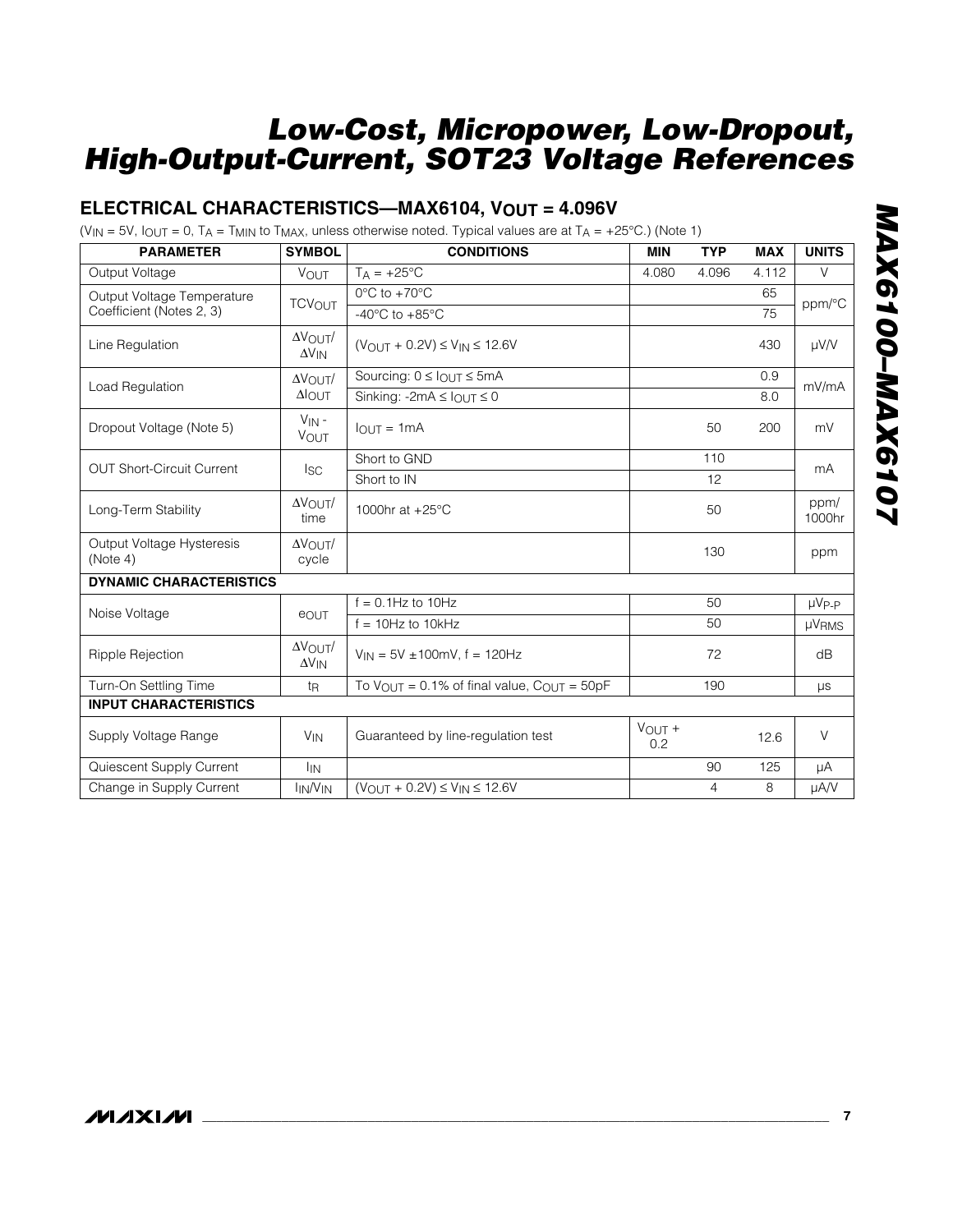#### **ELECTRICAL CHARACTERISTICS—MAX6104, VOUT = 4.096V**

(V<sub>IN</sub> = 5V,  $I_{\text{OUT}} = 0$ ,  $T_A = T_{\text{MIN}}$  to  $T_{\text{MAX}}$ , unless otherwise noted. Typical values are at  $T_A = +25^{\circ}$ C.) (Note 1)

| <b>PARAMETER</b>                      | <b>SYMBOL</b>                               | <b>CONDITIONS</b>                                                   | <b>MIN</b>    | <b>TYP</b> | <b>MAX</b> | <b>UNITS</b>   |
|---------------------------------------|---------------------------------------------|---------------------------------------------------------------------|---------------|------------|------------|----------------|
| Output Voltage                        | <b>VOUT</b>                                 | $TA = +25^{\circ}C$                                                 | 4.080         | 4.096      | 4.112      | V              |
| Output Voltage Temperature            | <b>TCVOUT</b>                               | $0^{\circ}$ C to $+70^{\circ}$ C                                    |               |            | 65         | ppm/°C         |
| Coefficient (Notes 2, 3)              |                                             | -40 $^{\circ}$ C to +85 $^{\circ}$ C                                |               |            | 75         |                |
| Line Regulation                       | $\Delta V$ OUT<br>$\Delta V_{IN}$           | $(V_{OUIT} + 0.2V) \le V_{IN} \le 12.6V$                            |               |            | 430        | $\mu$ V/V      |
| Load Regulation                       | $\Delta V_{\text{OUT}}/$                    | Sourcing: $0 \leq$ $_{OUT} \leq$ 5mA                                |               |            | 0.9        | mV/mA          |
|                                       | $\Delta$ OUT                                | Sinking: -2mA $\leq$ $I_{\text{OUT}} \leq 0$                        |               |            | 8.0        |                |
| Dropout Voltage (Note 5)              | $V_{IN}$ -<br><b>VOUT</b>                   | $I_{OUT} = 1mA$                                                     |               | 50         | 200        | mV             |
| <b>OUT Short-Circuit Current</b>      |                                             | Short to GND                                                        |               | 110        |            | mA             |
|                                       | lsc                                         | Short to IN                                                         |               | 12         |            |                |
| Long-Term Stability                   | $\Delta V$ OUT<br>time                      | 1000hr at +25°C                                                     |               | 50         |            | ppm/<br>1000hr |
| Output Voltage Hysteresis<br>(Note 4) | $\Delta V$ OUT<br>cycle                     |                                                                     |               | 130        |            | ppm            |
| <b>DYNAMIC CHARACTERISTICS</b>        |                                             |                                                                     |               |            |            |                |
| Noise Voltage                         | eout                                        | $f = 0.1$ Hz to 10Hz                                                |               | 50         |            | $\mu V_{P-P}$  |
|                                       |                                             | $f = 10$ Hz to $10$ kHz                                             |               | 50         |            | <b>µVRMS</b>   |
| Ripple Rejection                      | $\Delta V_{\text{OUT}}/$<br>$\Delta V_{IN}$ | $V_{1N} = 5V \pm 100$ mV, f = 120Hz                                 |               | 72         |            | dB             |
| Turn-On Settling Time                 | t <sub>R</sub>                              | To $V_{\text{OUT}} = 0.1\%$ of final value, $C_{\text{OUT}} = 50pF$ |               | 190        |            | μs             |
| <b>INPUT CHARACTERISTICS</b>          |                                             |                                                                     |               |            |            |                |
| Supply Voltage Range                  | <b>V<sub>IN</sub></b>                       | Guaranteed by line-regulation test                                  | VOUT +<br>0.2 |            | 12.6       | $\vee$         |
| Quiescent Supply Current              | <b>I<sub>IN</sub></b>                       |                                                                     |               | 90         | 125        | μA             |
| Change in Supply Current              | $I_{IN}/V_{IN}$                             | $(V_{OUT} + 0.2V) \le V_{IN} \le 12.6V$                             |               | 4          | 8          | µA/V           |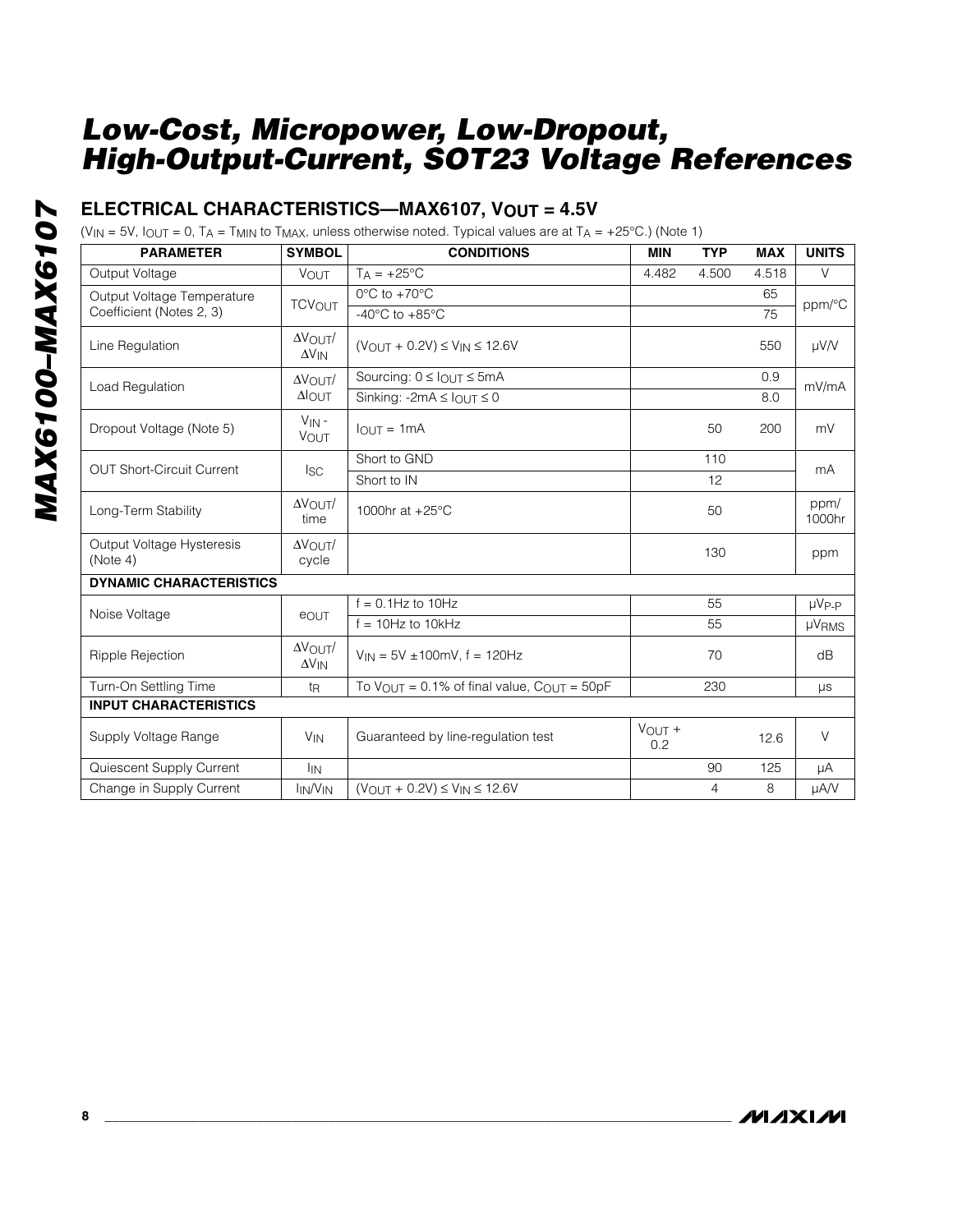#### **ELECTRICAL CHARACTERISTICS—MAX6107, VOUT = 4.5V**

(V<sub>IN</sub> = 5V,  $I_{OUT}$  = 0, T<sub>A</sub> = T<sub>MIN</sub> to T<sub>MAX</sub>, unless otherwise noted. Typical values are at T<sub>A</sub> = +25°C.) (Note 1)

| <b>PARAMETER</b>                      | <b>SYMBOL</b>                      | <b>CONDITIONS</b>                                                   | <b>MIN</b>       | <b>TYP</b> | <b>MAX</b> | <b>UNITS</b>   |
|---------------------------------------|------------------------------------|---------------------------------------------------------------------|------------------|------------|------------|----------------|
| Output Voltage                        | VOUT                               | $T_A = +25$ °C                                                      | 4.482            | 4.500      | 4.518      | V              |
| Output Voltage Temperature            | <b>TCVOUT</b>                      | $0^{\circ}$ C to $+70^{\circ}$ C                                    |                  |            | 65         | ppm/°C         |
| Coefficient (Notes 2, 3)              |                                    | -40 $^{\circ}$ C to +85 $^{\circ}$ C                                |                  |            | 75         |                |
| Line Regulation                       | $\Delta V$ OUT<br>$\Delta V_{IN}$  | $(V_{OUT} + 0.2V) \le V_{IN} \le 12.6V$                             |                  |            | 550        | $\mu$ V/V      |
| Load Regulation                       | $\Delta V$ OUT/                    | Sourcing: $0 \leq$ $_{OUT} \leq$ 5mA                                |                  |            | 0.9        | mV/mA          |
|                                       | $\Delta$ OUT                       | Sinking: -2mA $\leq$ $I_{OUT} \leq 0$                               |                  |            | 8.0        |                |
| Dropout Voltage (Note 5)              | $V_{IN}$ -<br><b>VOUT</b>          | $IOUT = 1mA$                                                        |                  | 50         | 200        | mV             |
| <b>OUT Short-Circuit Current</b>      |                                    | Short to GND                                                        |                  | 110        |            | mA             |
|                                       | Isc.                               | Short to IN                                                         |                  | 12         |            |                |
| Long-Term Stability                   | $\Delta V$ OUT<br>time             | 1000hr at +25°C                                                     |                  | 50         |            | ppm/<br>1000hr |
| Output Voltage Hysteresis<br>(Note 4) | $\Delta V$ OUT $/$<br>cycle        |                                                                     |                  | 130        |            | ppm            |
| <b>DYNAMIC CHARACTERISTICS</b>        |                                    |                                                                     |                  |            |            |                |
| Noise Voltage                         | eout                               | $f = 0.1$ Hz to $10$ Hz                                             |                  | 55         |            | $\mu V_{P-P}$  |
|                                       |                                    | $f = 10Hz$ to $10kHz$                                               |                  | 55         |            | <b>µVRMS</b>   |
| Ripple Rejection                      | $\Delta V$ OUT/<br>$\Delta V_{IN}$ | $V_{IN}$ = 5V ±100mV, f = 120Hz                                     |                  | 70         |            | dB             |
| Turn-On Settling Time                 | tŖ                                 | To $V_{\text{OUT}} = 0.1\%$ of final value, $C_{\text{OUT}} = 50pF$ |                  | 230        |            | μs             |
| <b>INPUT CHARACTERISTICS</b>          |                                    |                                                                     |                  |            |            |                |
| Supply Voltage Range                  | <b>V<sub>IN</sub></b>              | Guaranteed by line-regulation test                                  | $V$ OUT +<br>0.2 |            | 12.6       | $\vee$         |
| Quiescent Supply Current              | <b>I</b> IN                        |                                                                     |                  | 90         | 125        | μA             |
| Change in Supply Current              | <b>IN/VIN</b>                      | $(V_{OUT} + 0.2V) \le V_{IN} \le 12.6V$                             |                  | 4          | 8          | µA/V           |

**MAXIM**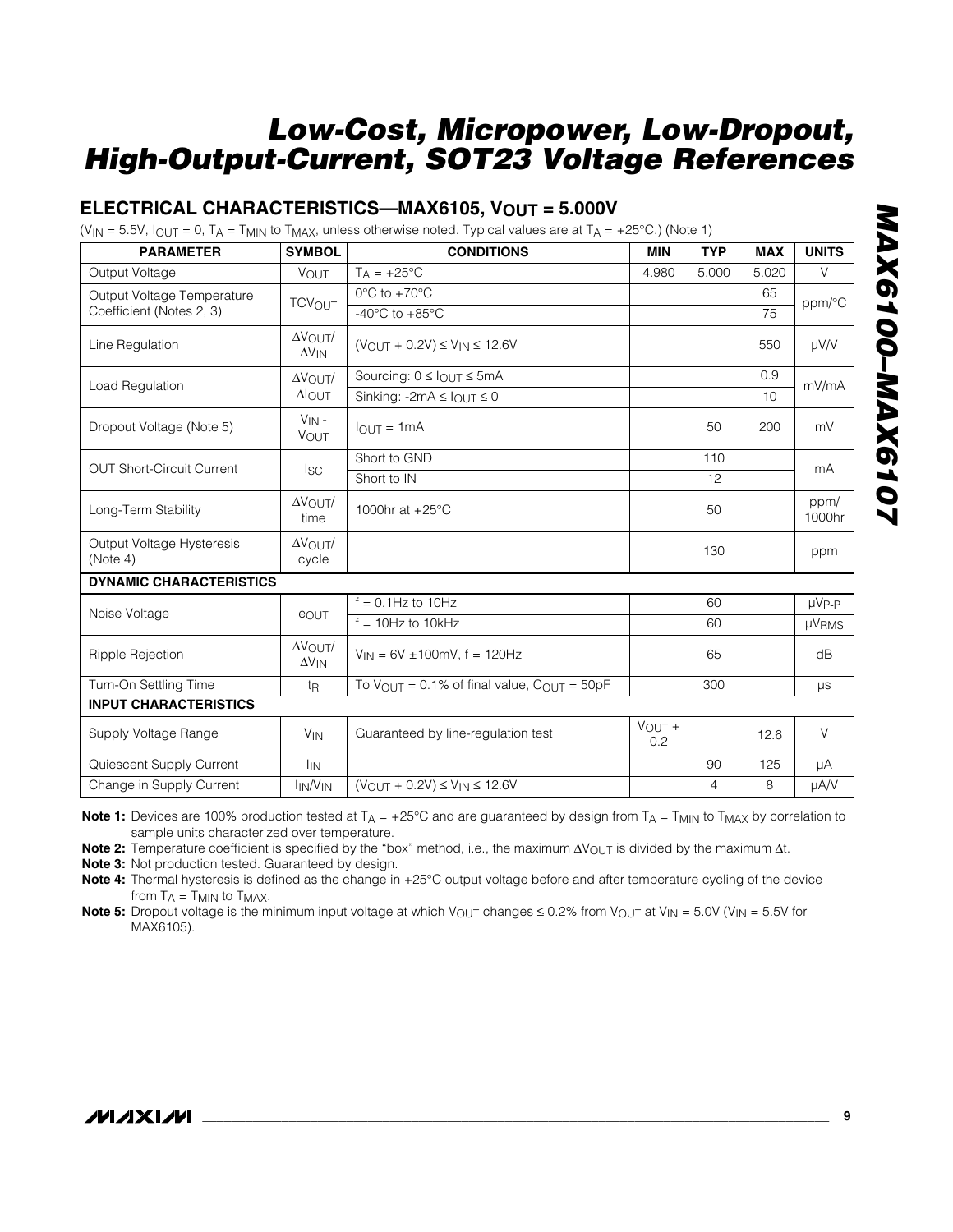#### **ELECTRICAL CHARACTERISTICS—MAX6105, VOUT = 5.000V**

(V<sub>IN</sub> = 5.5V,  $I_{\text{OUT}}$  = 0, T<sub>A</sub> = T<sub>MIN</sub> to T<sub>MAX</sub>, unless otherwise noted. Typical values are at T<sub>A</sub> = +25°C.) (Note 1)

| <b>PARAMETER</b>                      | <b>SYMBOL</b>                      | <b>CONDITIONS</b>                                                   | <b>MIN</b>         | <b>TYP</b> | <b>MAX</b> | <b>UNITS</b>   |
|---------------------------------------|------------------------------------|---------------------------------------------------------------------|--------------------|------------|------------|----------------|
| Output Voltage                        | VOUT                               | $TA = +25^{\circ}C$                                                 | 4.980              | 5.000      | 5.020      | V              |
| Output Voltage Temperature            | <b>TCVOUT</b>                      | $0^{\circ}$ C to $+70^{\circ}$ C                                    |                    |            | 65         | ppm/°C         |
| Coefficient (Notes 2, 3)              |                                    | -40 $^{\circ}$ C to +85 $^{\circ}$ C                                |                    |            | 75         |                |
| Line Regulation                       | $\Delta V$ OUT/<br>$\Delta V_{IN}$ | $(V_{OUT} + 0.2V) \le V_{IN} \le 12.6V$                             |                    |            | 550        | $\mu$ V/V      |
| Load Regulation                       | $\Delta V$ $\cap$ UT $/$           | Sourcing: $0 \leq \ln \pi \leq 5$ mA                                |                    |            | 0.9        | mV/mA          |
|                                       | $\Delta$ OUT                       | Sinking: -2mA $\leq$ $I_{OUT} \leq 0$                               |                    |            | 10         |                |
| Dropout Voltage (Note 5)              | $V_{IN}$ -<br><b>VOUT</b>          | $I_{\Omega IJK} = 1 \text{mA}$                                      |                    | 50         | 200        | mV             |
| <b>OUT Short-Circuit Current</b>      |                                    | Short to GND                                                        |                    | 110        |            | mA             |
|                                       | <sub>ISC</sub>                     | Short to IN                                                         |                    | 12         |            |                |
| Long-Term Stability                   | $\Delta V$ OUT<br>time             | 1000hr at +25°C                                                     |                    | 50         |            | ppm/<br>1000hr |
| Output Voltage Hysteresis<br>(Note 4) | $\Delta V$ OUT/<br>cycle           |                                                                     |                    | 130        |            | ppm            |
| <b>DYNAMIC CHARACTERISTICS</b>        |                                    |                                                                     |                    |            |            |                |
| Noise Voltage                         | eout                               | $f = 0.1$ Hz to 10Hz                                                |                    | 60         |            | $\mu V_{P-P}$  |
|                                       |                                    | $f = 10$ Hz to $10$ kHz                                             |                    | 60         |            | <b>µVRMS</b>   |
| <b>Ripple Rejection</b>               | $\Delta V$ OUT/<br>$\Delta V_{IN}$ | $V_{IN} = 6V \pm 100$ mV, f = 120Hz                                 |                    | 65         |            | dB             |
| Turn-On Settling Time                 | t <sub>R</sub>                     | To $V_{\text{OUT}} = 0.1\%$ of final value, $C_{\text{OUT}} = 50pF$ |                    | 300        |            | $\mu s$        |
| <b>INPUT CHARACTERISTICS</b>          |                                    |                                                                     |                    |            |            |                |
| Supply Voltage Range                  | <b>V<sub>IN</sub></b>              | Guaranteed by line-regulation test                                  | $V_{OUT} +$<br>0.2 |            | 12.6       | $\vee$         |
| Quiescent Supply Current              | <b>I<sub>IN</sub></b>              |                                                                     |                    | 90         | 125        | μA             |
| Change in Supply Current              | $I_{IN}/V_{IN}$                    | $(V_{OUT} + 0.2V) \le V_{IN} \le 12.6V$                             |                    | 4          | 8          | µA/V           |

**Note 1:** Devices are 100% production tested at  $T_A = +25^\circ$ C and are guaranteed by design from  $T_A = T_{MIN}$  to  $T_{MAX}$  by correlation to sample units characterized over temperature.

Note 2: Temperature coefficient is specified by the "box" method, i.e., the maximum ∆V<sub>OUT</sub> is divided by the maximum ∆t.

**Note 3:** Not production tested. Guaranteed by design.

**Note 4:** Thermal hysteresis is defined as the change in +25°C output voltage before and after temperature cycling of the device from  $T_A = T_{MIN}$  to  $T_{MAX}$ .

**Note 5:** Dropout voltage is the minimum input voltage at which V<sub>OUT</sub> changes  $\leq 0.2\%$  from V<sub>OUT</sub> at V<sub>IN</sub> = 5.0V (V<sub>IN</sub> = 5.5V for MAX6105).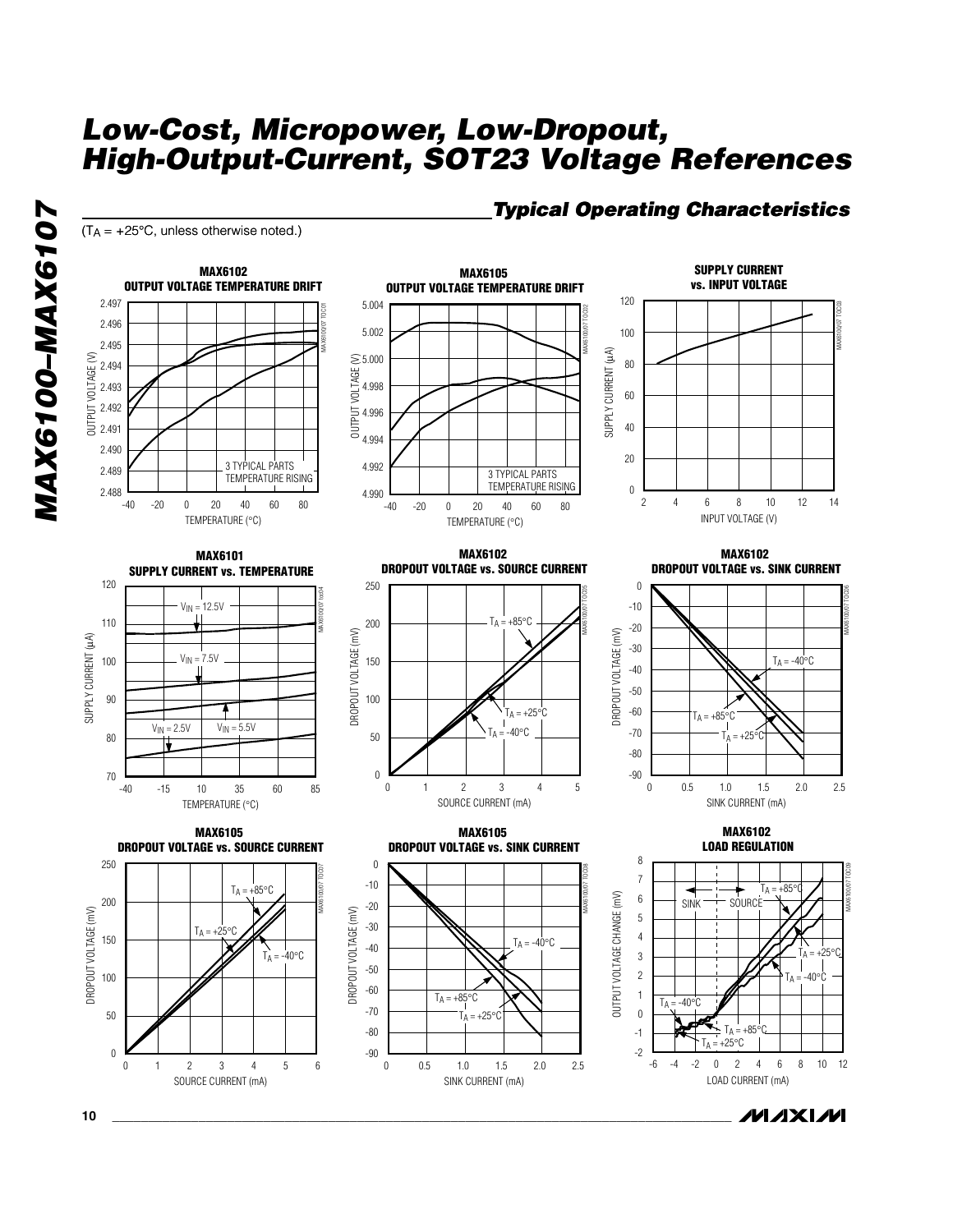$(T_A = +25^{\circ}C,$  unless otherwise noted.)

*MAX6100–MAX6107*

MAX6100-MAX6107



0 0.5 1.0 1.5 2.0 2.5

SINK CURRENT (mA)

### *Typical Operating Characteristics Operating Characteristics*

**MAXIM** 

MAX6100/07 TOC09

-6 -2 0 2 -4 4 6 8 10 12

LOAD CURRENT (mA)

0 2 1 3456

SOURCE CURRENT (mA)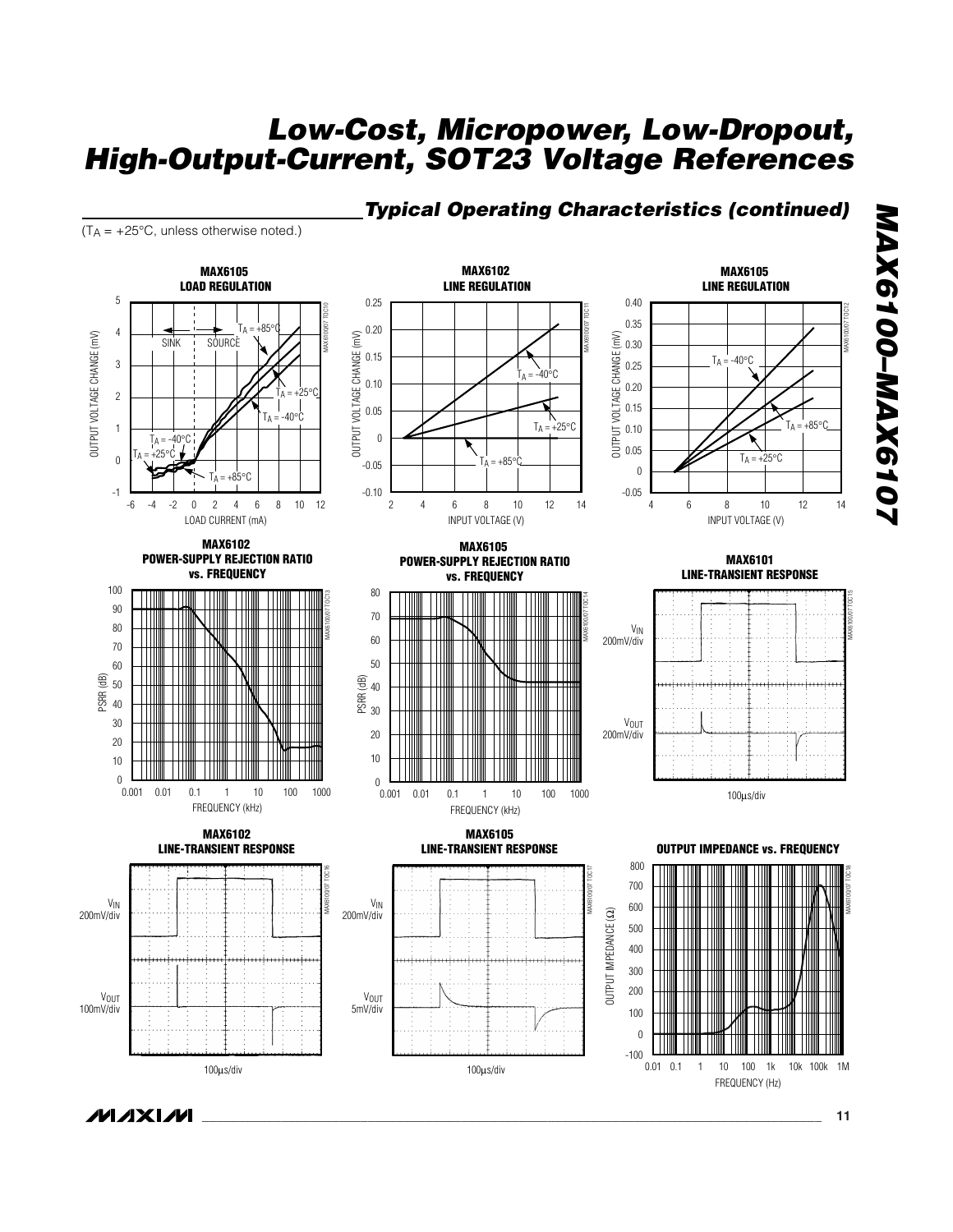#### *Typical Operating Characteristics (continued)*

 $(T_A = +25^{\circ}C,$  unless otherwise noted.)



*MAX6100–MAX6107* MAX6100-MAX6107

*\_\_\_\_\_\_\_\_\_\_\_\_\_\_\_\_\_\_\_\_\_\_\_\_\_\_\_\_\_\_\_\_\_\_\_\_\_\_\_\_\_\_\_\_\_\_\_\_\_\_\_\_\_\_\_\_\_\_\_\_\_\_\_\_\_\_\_\_\_\_\_\_\_\_\_\_\_\_\_\_\_\_\_\_\_\_* **11**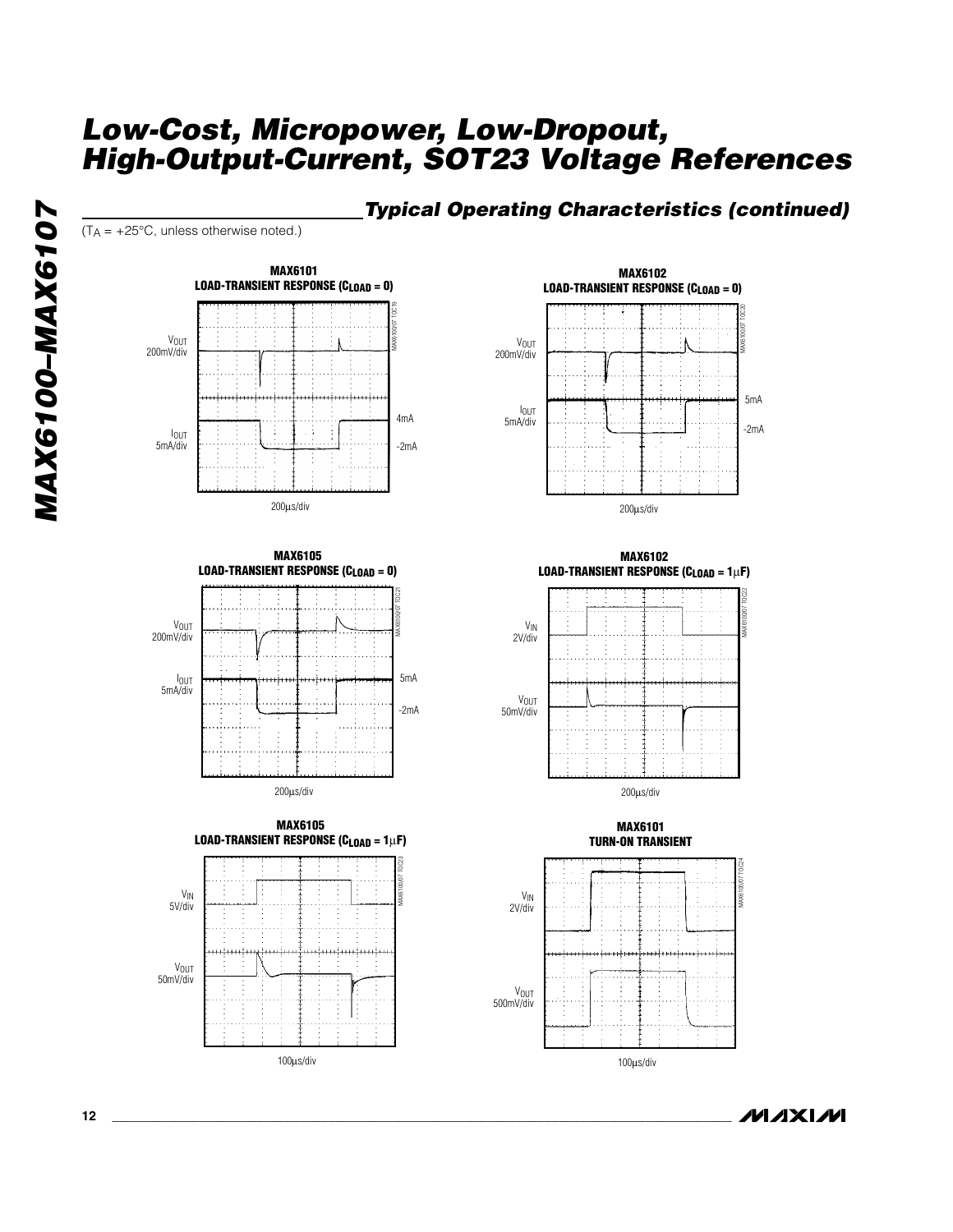#### *Typical Operating Characteristics (continued)*

 $(T_A = +25^{\circ}C,$  unless otherwise noted.)



















**MAXIM** 

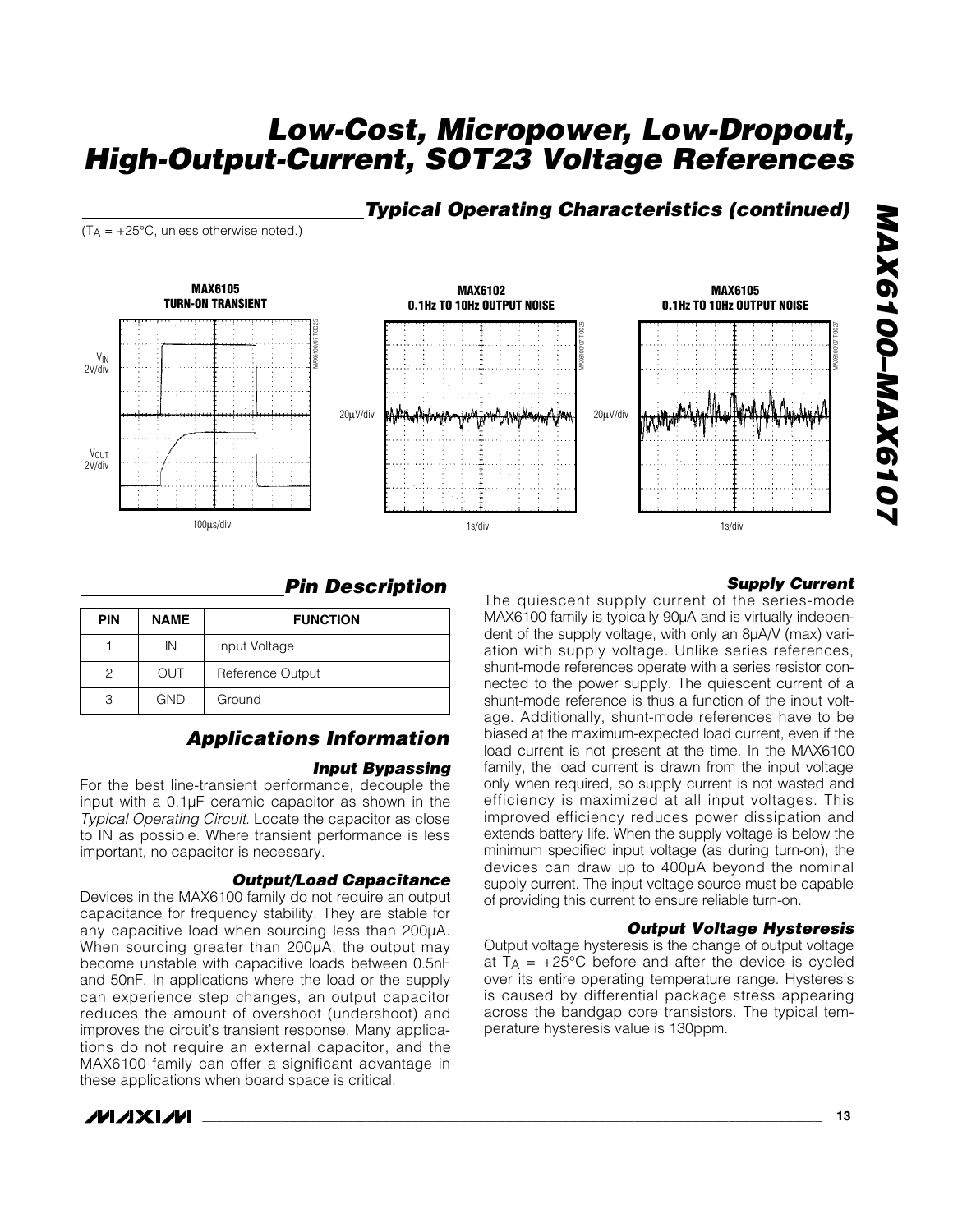#### *Typical Operating Characteristics (continued)*

 $(T_A = +25^{\circ}C$ , unless otherwise noted.)



#### *Pin Description*

| <b>PIN</b> | <b>NAME</b> | <b>FUNCTION</b>  |
|------------|-------------|------------------|
|            | IN          | Input Voltage    |
| 2          | <b>OUT</b>  | Reference Output |
| З          | <b>GND</b>  | Ground           |

#### *Applications Information*

#### *Input Bypassing*

For the best line-transient performance, decouple the input with a 0.1µF ceramic capacitor as shown in the *Typical Operating Circuit*. Locate the capacitor as close to IN as possible. Where transient performance is less important, no capacitor is necessary.

#### *Output/Load Capacitance*

Devices in the MAX6100 family do not require an output capacitance for frequency stability. They are stable for any capacitive load when sourcing less than 200µA. When sourcing greater than 200µA, the output may become unstable with capacitive loads between 0.5nF and 50nF. In applications where the load or the supply can experience step changes, an output capacitor reduces the amount of overshoot (undershoot) and improves the circuit's transient response. Many applications do not require an external capacitor, and the MAX6100 family can offer a significant advantage in these applications when board space is critical.



#### *Supply Current*

The quiescent supply current of the series-mode MAX6100 family is typically 90µA and is virtually independent of the supply voltage, with only an 8µA/V (max) variation with supply voltage. Unlike series references, shunt-mode references operate with a series resistor connected to the power supply. The quiescent current of a shunt-mode reference is thus a function of the input voltage. Additionally, shunt-mode references have to be biased at the maximum-expected load current, even if the load current is not present at the time. In the MAX6100 family, the load current is drawn from the input voltage only when required, so supply current is not wasted and efficiency is maximized at all input voltages. This improved efficiency reduces power dissipation and extends battery life. When the supply voltage is below the minimum specified input voltage (as during turn-on), the devices can draw up to 400µA beyond the nominal supply current. The input voltage source must be capable of providing this current to ensure reliable turn-on.

#### *Output Voltage Hysteresis*

Output voltage hysteresis is the change of output voltage at  $T_A$  =  $+25^{\circ}$ C before and after the device is cycled over its entire operating temperature range. Hysteresis is caused by differential package stress appearing across the bandgap core transistors. The typical temperature hysteresis value is 130ppm.